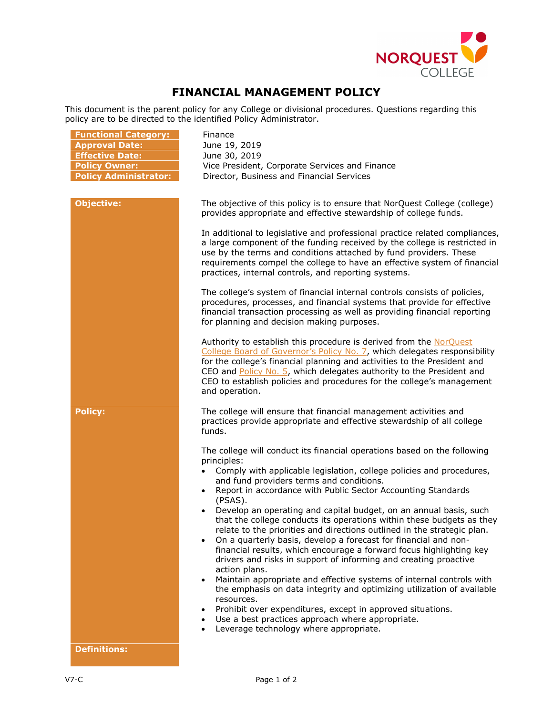

## **FINANCIAL MANAGEMENT POLICY**

This document is the parent policy for any College or divisional procedures. Questions regarding this policy are to be directed to the identified Policy Administrator.

| <b>Functional Category:</b><br><b>Approval Date:</b><br><b>Effective Date:</b><br><b>Policy Owner:</b> | Finance<br>June 19, 2019<br>June 30, 2019<br>Vice President, Corporate Services and Finance                                                                                                                                                                                                                                                                                                                                                                                                                                                                                                                                                                                                                                                                                                                                                                                                                                                                                                                                                                                                          |
|--------------------------------------------------------------------------------------------------------|------------------------------------------------------------------------------------------------------------------------------------------------------------------------------------------------------------------------------------------------------------------------------------------------------------------------------------------------------------------------------------------------------------------------------------------------------------------------------------------------------------------------------------------------------------------------------------------------------------------------------------------------------------------------------------------------------------------------------------------------------------------------------------------------------------------------------------------------------------------------------------------------------------------------------------------------------------------------------------------------------------------------------------------------------------------------------------------------------|
| <b>Policy Administrator:</b>                                                                           | Director, Business and Financial Services                                                                                                                                                                                                                                                                                                                                                                                                                                                                                                                                                                                                                                                                                                                                                                                                                                                                                                                                                                                                                                                            |
| <b>Objective:</b>                                                                                      | The objective of this policy is to ensure that NorQuest College (college)<br>provides appropriate and effective stewardship of college funds.<br>In additional to legislative and professional practice related compliances,<br>a large component of the funding received by the college is restricted in<br>use by the terms and conditions attached by fund providers. These<br>requirements compel the college to have an effective system of financial<br>practices, internal controls, and reporting systems.                                                                                                                                                                                                                                                                                                                                                                                                                                                                                                                                                                                   |
|                                                                                                        | The college's system of financial internal controls consists of policies,<br>procedures, processes, and financial systems that provide for effective<br>financial transaction processing as well as providing financial reporting<br>for planning and decision making purposes.                                                                                                                                                                                                                                                                                                                                                                                                                                                                                                                                                                                                                                                                                                                                                                                                                      |
|                                                                                                        | Authority to establish this procedure is derived from the NorQuest<br>College Board of Governor's Policy No. 7, which delegates responsibility<br>for the college's financial planning and activities to the President and<br>CEO and Policy No. 5, which delegates authority to the President and<br>CEO to establish policies and procedures for the college's management<br>and operation.                                                                                                                                                                                                                                                                                                                                                                                                                                                                                                                                                                                                                                                                                                        |
| <b>Policy:</b>                                                                                         | The college will ensure that financial management activities and<br>practices provide appropriate and effective stewardship of all college<br>funds.                                                                                                                                                                                                                                                                                                                                                                                                                                                                                                                                                                                                                                                                                                                                                                                                                                                                                                                                                 |
|                                                                                                        | The college will conduct its financial operations based on the following<br>principles:<br>Comply with applicable legislation, college policies and procedures,<br>and fund providers terms and conditions.<br>Report in accordance with Public Sector Accounting Standards<br>(PSAS).<br>Develop an operating and capital budget, on an annual basis, such<br>that the college conducts its operations within these budgets as they<br>relate to the priorities and directions outlined in the strategic plan.<br>On a quarterly basis, develop a forecast for financial and non-<br>financial results, which encourage a forward focus highlighting key<br>drivers and risks in support of informing and creating proactive<br>action plans.<br>Maintain appropriate and effective systems of internal controls with<br>$\bullet$<br>the emphasis on data integrity and optimizing utilization of available<br>resources.<br>Prohibit over expenditures, except in approved situations.<br>Use a best practices approach where appropriate.<br>$\bullet$<br>Leverage technology where appropriate. |
| <b>Definitions:</b>                                                                                    |                                                                                                                                                                                                                                                                                                                                                                                                                                                                                                                                                                                                                                                                                                                                                                                                                                                                                                                                                                                                                                                                                                      |